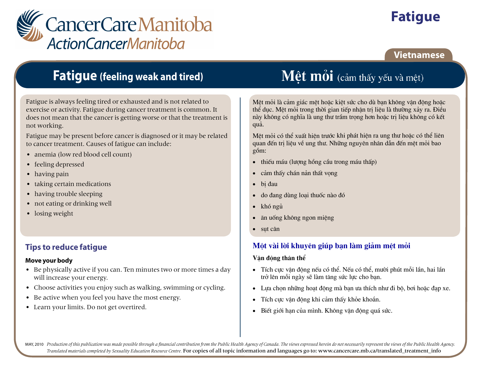

# **Fatigue**

### **Vietnamese**

## **Fatigue (feeling weak and tired)**

Fatigue is always feeling tired or exhausted and is not related to exercise or activity. Fatigue during cancer treatment is common. It does not mean that the cancer is getting worse or that the treatment is not working.

Fatigue may be present before cancer is diagnosed or it may be related to cancer treatment. Causes of fatigue can include:

- anemia (low red blood cell count)
- feeling depressed
- $\bullet$  having pain
- taking certain medications
- having trouble sleeping
- not eating or drinking well
- $\bullet$  losing weight

### **Tips to reduce fatigue**

#### Move your body

- Be physically active if you can. Ten minutes two or more times a day will increase your energy.
- Choose activities you enjoy such as walking, swimming or cycling.
- Be active when you feel you have the most energy.
- Learn your limits. Do not get overtired.

# Mêt mỏi (cảm thấy yếu và mệt)

Mêt mỏi là cảm giác mêt hoặc kiệt sức cho dù ban không vân đông hoặc thể duc. Mệt mỏi trong thời gian tiếp nhân tri liệu là thường xảy ra. Điều này không có nghĩa là ung thư trầm trong hơn hoặc tri liệu không có kết quả.

Mệt mỏi có thể xuất hiện trước khi phát hiện ra ung thư hoặc có thể liên quan đến tri liêu về ung thư. Những nguyên nhân dẫn đến mêt mỏi bao gồm:

- thiếu máu (lương hồng cầu trong máu thấp)  $\bullet$
- cảm thấy chán nản thất vong  $\bullet$
- bi đau  $\bullet$
- do đang dùng loai thuốc nào đó  $\bullet$
- $\bullet$ khó ngủ
- ăn uống không ngon miệng  $\bullet$
- $\bullet$  sut cân

### Một vài lời khuyên giúp ban làm giảm mệt mỏi

#### Vân đông thân thể

- Tích cực vân đông nếu có thể. Nếu có thể, mười phút mỗi lần, hai lần trở lên mỗi ngày sẽ làm tăng sức lực cho ban.
- Lưa chon những hoạt đông mà ban ưa thích như đi bộ, bơi hoặc đạp xe.  $\bullet$
- Tích cưc vân đông khi cảm thấy khỏe khoắn.  $\bullet$
- · Biết giới han của mình. Không vân động quá sức.

MAY, 2010 Production of this publication was made possible through a financial contribution from the Public Health Agency of Canada. The views expressed herein do not necessarily represent the views of the Public Health Ag Translated materials completed by Sexuality Education Resource Centre. For copies of all topic information and languages go to: www.cancercare.mb.ca/translated\_treatment\_info